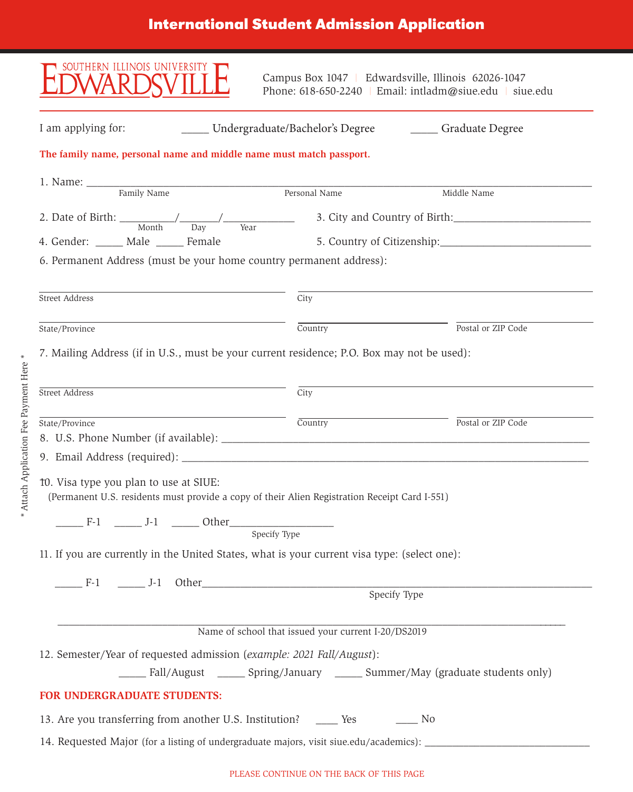# **International Student Admission Application**

| SOUTHERN ILLINOIS UNIVERSITY                                                                                                            |                                                     | Campus Box 1047   Edwardsville, Illinois 62026-1047<br>Phone: 618-650-2240   Email: intladm@siue.edu   siue.edu |  |  |  |  |
|-----------------------------------------------------------------------------------------------------------------------------------------|-----------------------------------------------------|-----------------------------------------------------------------------------------------------------------------|--|--|--|--|
| I am applying for:<br>Undergraduate/Bachelor's Degree                                                                                   |                                                     | _______ Graduate Degree                                                                                         |  |  |  |  |
| The family name, personal name and middle name must match passport.                                                                     |                                                     |                                                                                                                 |  |  |  |  |
|                                                                                                                                         | Personal Name                                       | Middle Name                                                                                                     |  |  |  |  |
| 2. Date of Birth: $\frac{1}{\text{Month}}$ $\frac{1}{\text{Day}}$ $\frac{1}{\text{Year}}$ 3. City and Country of Birth:                 |                                                     |                                                                                                                 |  |  |  |  |
| 4. Gender: _____ Male _____ Female                                                                                                      |                                                     |                                                                                                                 |  |  |  |  |
| 6. Permanent Address (must be your home country permanent address):                                                                     |                                                     |                                                                                                                 |  |  |  |  |
|                                                                                                                                         |                                                     |                                                                                                                 |  |  |  |  |
| Street Address                                                                                                                          | City                                                |                                                                                                                 |  |  |  |  |
| State/Province                                                                                                                          | Country                                             | Postal or ZIP Code                                                                                              |  |  |  |  |
| 7. Mailing Address (if in U.S., must be your current residence; P.O. Box may not be used):                                              |                                                     |                                                                                                                 |  |  |  |  |
| Street Address                                                                                                                          | City                                                |                                                                                                                 |  |  |  |  |
| State/Province                                                                                                                          | Country                                             | Postal or ZIP Code                                                                                              |  |  |  |  |
|                                                                                                                                         |                                                     |                                                                                                                 |  |  |  |  |
| 10. Visa type you plan to use at SIUE:<br>(Permanent U.S. residents must provide a copy of their Alien Registration Receipt Card I-551) |                                                     |                                                                                                                 |  |  |  |  |
| Specify Type                                                                                                                            |                                                     |                                                                                                                 |  |  |  |  |
| 11. If you are currently in the United States, what is your current visa type: (select one):                                            |                                                     |                                                                                                                 |  |  |  |  |
|                                                                                                                                         |                                                     |                                                                                                                 |  |  |  |  |
|                                                                                                                                         |                                                     |                                                                                                                 |  |  |  |  |
|                                                                                                                                         | Name of school that issued your current I-20/DS2019 |                                                                                                                 |  |  |  |  |
| 12. Semester/Year of requested admission (example: 2021 Fall/August):                                                                   |                                                     |                                                                                                                 |  |  |  |  |
| Fall/August ________ Spring/January _______ Summer/May (graduate students only)                                                         |                                                     |                                                                                                                 |  |  |  |  |
| FOR UNDERGRADUATE STUDENTS:                                                                                                             |                                                     |                                                                                                                 |  |  |  |  |
| 13. Are you transferring from another U.S. Institution? _______ Yes<br>$\frac{1}{100}$ No                                               |                                                     |                                                                                                                 |  |  |  |  |
| 14. Requested Major (for a listing of undergraduate majors, visit siue.edu/academics): ____________                                     |                                                     |                                                                                                                 |  |  |  |  |

\* Attach Application Fee Payment Here \* \* Attach Application Fee Payment Here \*